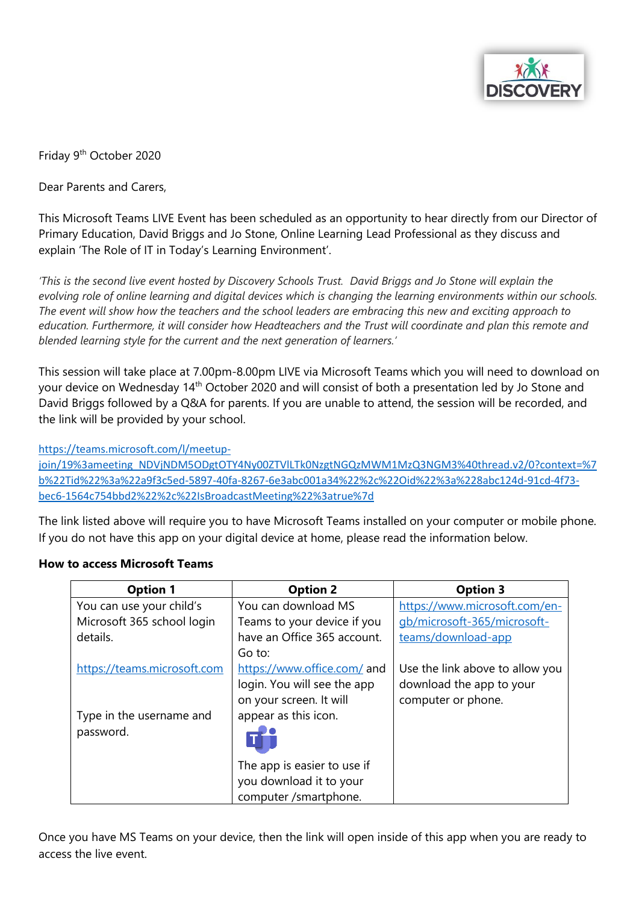

Friday 9th October 2020

Dear Parents and Carers,

This Microsoft Teams LIVE Event has been scheduled as an opportunity to hear directly from our Director of Primary Education, David Briggs and Jo Stone, Online Learning Lead Professional as they discuss and explain 'The Role of IT in Today's Learning Environment'.

*'This is the second live event hosted by Discovery Schools Trust. David Briggs and Jo Stone will explain the evolving role of online learning and digital devices which is changing the learning environments within our schools. The event will show how the teachers and the school leaders are embracing this new and exciting approach to education. Furthermore, it will consider how Headteachers and the Trust will coordinate and plan this remote and blended learning style for the current and the next generation of learners.'*

This session will take place at 7.00pm-8.00pm LIVE via Microsoft Teams which you will need to download on your device on Wednesday 14<sup>th</sup> October 2020 and will consist of both a presentation led by Jo Stone and David Briggs followed by a Q&A for parents. If you are unable to attend, the session will be recorded, and the link will be provided by your school.

[https://teams.microsoft.com/l/meetup-](https://teams.microsoft.com/l/meetup-join/19%3ameeting_NDVjNDM5ODgtOTY4Ny00ZTVlLTk0NzgtNGQzMWM1MzQ3NGM3%40thread.v2/0?context=%7b%22Tid%22%3a%22a9f3c5ed-5897-40fa-8267-6e3abc001a34%22%2c%22Oid%22%3a%228abc124d-91cd-4f73-bec6-1564c754bbd2%22%2c%22IsBroadcastMeeting%22%3atrue%7d)

[join/19%3ameeting\\_NDVjNDM5ODgtOTY4Ny00ZTVlLTk0NzgtNGQzMWM1MzQ3NGM3%40thread.v2/0?context=%7](https://teams.microsoft.com/l/meetup-join/19%3ameeting_NDVjNDM5ODgtOTY4Ny00ZTVlLTk0NzgtNGQzMWM1MzQ3NGM3%40thread.v2/0?context=%7b%22Tid%22%3a%22a9f3c5ed-5897-40fa-8267-6e3abc001a34%22%2c%22Oid%22%3a%228abc124d-91cd-4f73-bec6-1564c754bbd2%22%2c%22IsBroadcastMeeting%22%3atrue%7d) [b%22Tid%22%3a%22a9f3c5ed-5897-40fa-8267-6e3abc001a34%22%2c%22Oid%22%3a%228abc124d-91cd-4f73](https://teams.microsoft.com/l/meetup-join/19%3ameeting_NDVjNDM5ODgtOTY4Ny00ZTVlLTk0NzgtNGQzMWM1MzQ3NGM3%40thread.v2/0?context=%7b%22Tid%22%3a%22a9f3c5ed-5897-40fa-8267-6e3abc001a34%22%2c%22Oid%22%3a%228abc124d-91cd-4f73-bec6-1564c754bbd2%22%2c%22IsBroadcastMeeting%22%3atrue%7d) [bec6-1564c754bbd2%22%2c%22IsBroadcastMeeting%22%3atrue%7d](https://teams.microsoft.com/l/meetup-join/19%3ameeting_NDVjNDM5ODgtOTY4Ny00ZTVlLTk0NzgtNGQzMWM1MzQ3NGM3%40thread.v2/0?context=%7b%22Tid%22%3a%22a9f3c5ed-5897-40fa-8267-6e3abc001a34%22%2c%22Oid%22%3a%228abc124d-91cd-4f73-bec6-1564c754bbd2%22%2c%22IsBroadcastMeeting%22%3atrue%7d)

The link listed above will require you to have Microsoft Teams installed on your computer or mobile phone. If you do not have this app on your digital device at home, please read the information below.

## **Option 1 Option 2 Option 3** You can use your child's Microsoft 365 school login details. [https://teams.microsoft.com](https://teams.microsoft.com/) Type in the username and password. You can download MS Teams to your device if you have an Office 365 account. Go to: <https://www.office.com/> and login. You will see the app on your screen. It will appear as this icon. The app is easier to use if you download it to your computer /smartphone. [https://www.microsoft.com/en](https://www.microsoft.com/en-gb/microsoft-365/microsoft-teams/download-app)[gb/microsoft-365/microsoft](https://www.microsoft.com/en-gb/microsoft-365/microsoft-teams/download-app)[teams/download-app](https://www.microsoft.com/en-gb/microsoft-365/microsoft-teams/download-app) Use the link above to allow you download the app to your computer or phone.

## **How to access Microsoft Teams**

Once you have MS Teams on your device, then the link will open inside of this app when you are ready to access the live event.